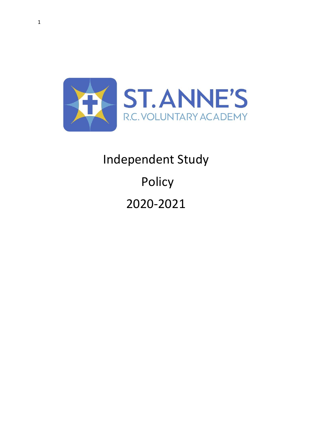

# Independent Study Policy 2020-2021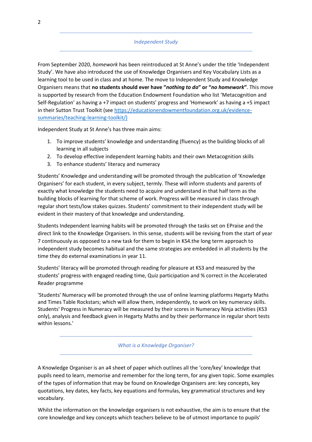## *Independent Study*

From September 2020, *homework* has been reintroduced at St Anne's under the title 'Independent Study'. We have also introduced the use of Knowledge Organisers and Key Vocabulary Lists as a learning tool to be used in class and at home. The move to Independent Study and Knowledge Organisers means that **no students should ever have "***nothing to do***" or "***no homework***"**. This move is supported by research from the Education Endowment Foundation who list 'Metacognition and Self-Regulation' as having a +7 impact on students' progress and 'Homework' as having a +5 impact in their Sutton Trust Toolkit (see [https://educationendowmentfoundation.org.uk/evidence](https://educationendowmentfoundation.org.uk/evidence-summaries/teaching-learning-toolkit/)[summaries/teaching-learning-toolkit/\)](https://educationendowmentfoundation.org.uk/evidence-summaries/teaching-learning-toolkit/)

Independent Study at St Anne's has three main aims:

- 1. To improve students' knowledge and understanding (fluency) as the building blocks of all learning in all subjects
- 2. To develop effective independent learning habits and their own Metacognition skills
- 3. To enhance students' literacy and numeracy

Students' Knowledge and understanding will be promoted through the publication of 'Knowledge Organisers' for each student, in every subject, termly. These will inform students and parents of exactly what knowledge the students need to acquire and understand in that half term as the building blocks of learning for that scheme of work. Progress will be measured in class through regular short tests/low stakes quizzes. Students' commitment to their independent study will be evident in their mastery of that knowledge and understanding.

Students Independent learning habits will be promoted through the tasks set on EPraise and the direct link to the Knowledge Organisers. In this sense, students will be revising from the start of year 7 continuously as opposed to a new task for them to begin in KS4.the long term approach to independent study becomes habitual and the same strategies are embedded in all students by the time they do external examinations in year 11.

Students' literacy will be promoted through reading for pleasure at KS3 and measured by the students' progress with engaged reading time, Quiz participation and % correct in the Accelerated Reader programme

'Students' Numeracy will be promoted through the use of online learning platforms Hegarty Maths and Times Table Rockstars; which will allow them, independently, to work on key numeracy skills. Students' Progress in Numeracy will be measured by their scores in Numeracy Ninja activities (KS3 only), analysis and feedback given in Hegarty Maths and by their performance in regular short tests within lessons.'

*What is a Knowledge Organiser?*

A Knowledge Organiser is an a4 sheet of paper which outlines all the 'core/key' knowledge that pupils need to learn, memorise and remember for the long term, for any given topic. Some examples of the types of information that may be found on Knowledge Organisers are: key concepts, key quotations, key dates, key facts, key equations and formulas, key grammatical structures and key vocabulary.

Whilst the information on the knowledge organisers is not exhaustive, the aim is to ensure that the core knowledge and key concepts which teachers believe to be of utmost importance to pupils'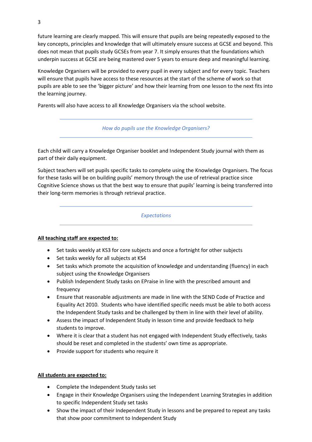future learning are clearly mapped. This will ensure that pupils are being repeatedly exposed to the key concepts, principles and knowledge that will ultimately ensure success at GCSE and beyond. This does not mean that pupils study GCSEs from year 7. It simply ensures that the foundations which underpin success at GCSE are being mastered over 5 years to ensure deep and meaningful learning.

Knowledge Organisers will be provided to every pupil in every subject and for every topic. Teachers will ensure that pupils have access to these resources at the start of the scheme of work so that pupils are able to see the 'bigger picture' and how their learning from one lesson to the next fits into the learning journey.

Parents will also have access to all Knowledge Organisers via the school website.

*How do pupils use the Knowledge Organisers?*

Each child will carry a Knowledge Organiser booklet and Independent Study journal with them as part of their daily equipment.

Subject teachers will set pupils specific tasks to complete using the Knowledge Organisers. The focus for these tasks will be on building pupils' memory through the use of retrieval practice since Cognitive Science shows us that the best way to ensure that pupils' learning is being transferred into their long-term memories is through retrieval practice.

*Expectations*

#### **All teaching staff are expected to:**

- Set tasks weekly at KS3 for core subjects and once a fortnight for other subjects
- Set tasks weekly for all subjects at KS4
- Set tasks which promote the acquisition of knowledge and understanding (fluency) in each subject using the Knowledge Organisers
- Publish Independent Study tasks on EPraise in line with the prescribed amount and frequency
- Ensure that reasonable adjustments are made in line with the SEND Code of Practice and Equality Act 2010. Students who have identified specific needs must be able to both access the Independent Study tasks and be challenged by them in line with their level of ability.
- Assess the impact of Independent Study in lesson time and provide feedback to help students to improve.
- Where it is clear that a student has not engaged with Independent Study effectively, tasks should be reset and completed in the students' own time as appropriate.
- Provide support for students who require it

#### **All students are expected to:**

- Complete the Independent Study tasks set
- Engage in their Knowledge Organisers using the Independent Learning Strategies in addition to specific Independent Study set tasks
- Show the impact of their Independent Study in lessons and be prepared to repeat any tasks that show poor commitment to Independent Study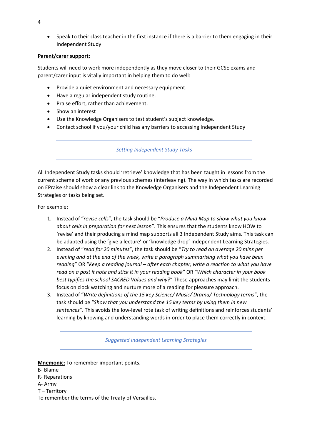• Speak to their class teacher in the first instance if there is a barrier to them engaging in their Independent Study

### **Parent/carer support:**

Students will need to work more independently as they move closer to their GCSE exams and parent/carer input is vitally important in helping them to do well:

- Provide a quiet environment and necessary equipment.
- Have a regular independent study routine.
- Praise effort, rather than achievement.
- Show an interest
- Use the Knowledge Organisers to test student's subject knowledge.
- Contact school if you/your child has any barriers to accessing Independent Study

#### *Setting Independent Study Tasks*

All Independent Study tasks should 'retrieve' knowledge that has been taught in lessons from the current scheme of work or any previous schemes (interleaving). The way in which tasks are recorded on EPraise should show a clear link to the Knowledge Organisers and the Independent Learning Strategies or tasks being set.

For example:

- 1. Instead of "*revise cells*", the task should be "*Produce a Mind Map to show what you know about cells in preparation for next lesson*". This ensures that the students know HOW to 'revise' and their producing a mind map supports all 3 Independent Study aims. This task can be adapted using the 'give a lecture' or 'knowledge drop' Independent Learning Strategies.
- 2. Instead of "*read for 20 minutes*", the task should be "*Try to read on average 20 mins per evening and at the end of the week, write a paragraph summarising what you have been reading*" OR "*Keep a reading journal – after each chapter, write a reaction to what you have read on a post it note and stick it in your reading book*" OR "*Which character in your book best typifies the school SACRED Values and why?*" These approaches may limit the students focus on clock watching and nurture more of a reading for pleasure approach.
- 3. Instead of "*Write definitions of the 15 key Science/ Music/ Drama/ Technology terms*", the task should be "*Show that you understand the 15 key terms by using them in new sentences*". This avoids the low-level rote task of writing definitions and reinforces students' learning by knowing and understanding words in order to place them correctly in context.

*Suggested Independent Learning Strategies*

**Mnemonic:** To remember important points.

- B- Blame
- R- Reparations
- A- Army
- T Territory
- To remember the terms of the Treaty of Versailles.